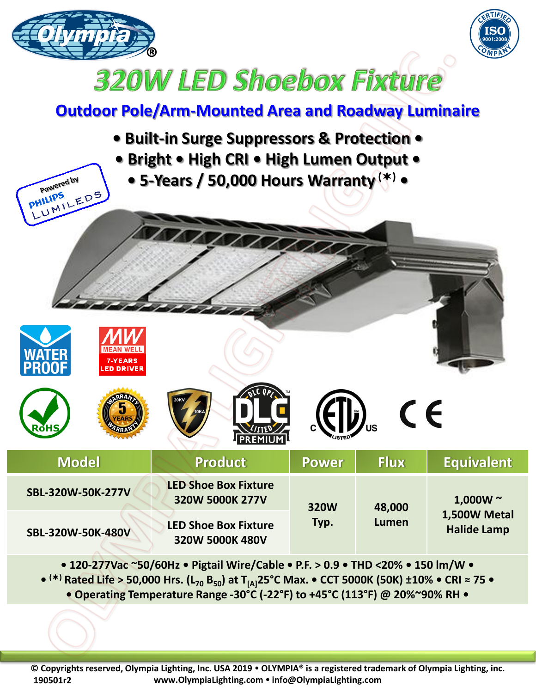



## **320W LED Shoebox Fixture**

## **Outdoor Pole/Arm-Mounted Area and Roadway Luminaire**

**• Built-in Surge Suppressors & Protection • • Bright • High CRI • High Lumen Output •** Powered by **• 5-Years / 50,000 Hours Warranty () • PHILIPS** UMILEDS  $\epsilon$ **Model Product Power Flux Equivalent SBL-320W-50K-277V LED Shoe Box Fixture 320W 5000K 277V 320W 1,000W ~ 48,000 1,500W Metal Typ. Lumen SBL-320W-50K-480V** LED Shoe Box Fixture **Halimen Halide Lamp** 

**• 120-277Vac ~50/60Hz • Pigtail Wire/Cable • P.F. > 0.9 • THD <20% • 150 lm/W • • () Rated Life > 50,000 Hrs. (L<sup>70</sup> B50) at T[A]25°C Max. • CCT 5000K (50K) ±10% • CRI ≈ 75 • • Operating Temperature Range -30°C (-22°F) to +45°C (113°F) @ 20%~90% RH •**

**320W 5000K 480V**

**© Copyrights reserved, Olympia Lighting, Inc. USA 2019 OLYMPIA® is a registered trademark of Olympia Lighting, inc. www.OlympiaLighting.com info@OlympiaLighting.com 190501r2**